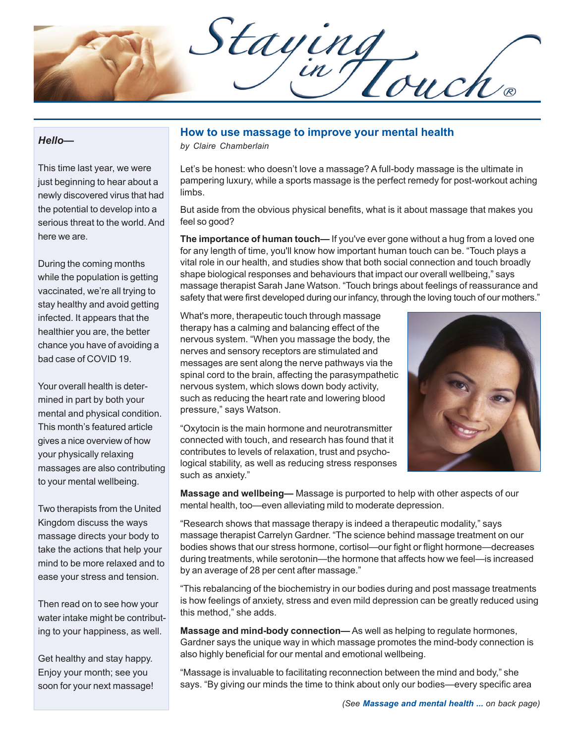Staying

#### *Hello—*

This time last year, we were just beginning to hear about a newly discovered virus that had the potential to develop into a serious threat to the world. And here we are.

During the coming months while the population is getting vaccinated, we're all trying to stay healthy and avoid getting infected. It appears that the healthier you are, the better chance you have of avoiding a bad case of COVID 19.

Your overall health is determined in part by both your mental and physical condition. This month's featured article gives a nice overview of how your physically relaxing massages are also contributing to your mental wellbeing.

Two therapists from the United Kingdom discuss the ways massage directs your body to take the actions that help your mind to be more relaxed and to ease your stress and tension.

Then read on to see how your water intake might be contributing to your happiness, as well.

Get healthy and stay happy. Enjoy your month; see you soon for your next massage!

## **How to use massage to improve your mental health**

*by Claire Chamberlain*

Let's be honest: who doesn't love a massage? A full-body massage is the ultimate in pampering luxury, while a sports massage is the perfect remedy for post-workout aching limbs.

But aside from the obvious physical benefits, what is it about massage that makes you feel so good?

**The importance of human touch—** If you've ever gone without a hug from a loved one for any length of time, you'll know how important human touch can be. "Touch plays a vital role in our health, and studies show that both social connection and touch broadly shape biological responses and behaviours that impact our overall wellbeing," says massage therapist Sarah Jane Watson. "Touch brings about feelings of reassurance and safety that were first developed during our infancy, through the loving touch of our mothers."

What's more, therapeutic touch through massage therapy has a calming and balancing effect of the nervous system. "When you massage the body, the nerves and sensory receptors are stimulated and messages are sent along the nerve pathways via the spinal cord to the brain, affecting the parasympathetic nervous system, which slows down body activity, such as reducing the heart rate and lowering blood pressure," says Watson.

"Oxytocin is the main hormone and neurotransmitter connected with touch, and research has found that it contributes to levels of relaxation, trust and psychological stability, as well as reducing stress responses such as anxiety."



**Massage and wellbeing—** Massage is purported to help with other aspects of our mental health, too—even alleviating mild to moderate depression.

"Research shows that massage therapy is indeed a therapeutic modality," says massage therapist Carrelyn Gardner. "The science behind massage treatment on our bodies shows that our stress hormone, cortisol—our fight or flight hormone—decreases during treatments, while serotonin—the hormone that affects how we feel—is increased by an average of 28 per cent after massage."

"This rebalancing of the biochemistry in our bodies during and post massage treatments is how feelings of anxiety, stress and even mild depression can be greatly reduced using this method," she adds.

**Massage and mind-body connection—** As well as helping to regulate hormones, Gardner says the unique way in which massage promotes the mind-body connection is also highly beneficial for our mental and emotional wellbeing.

"Massage is invaluable to facilitating reconnection between the mind and body," she says. "By giving our minds the time to think about only our bodies—every specific area